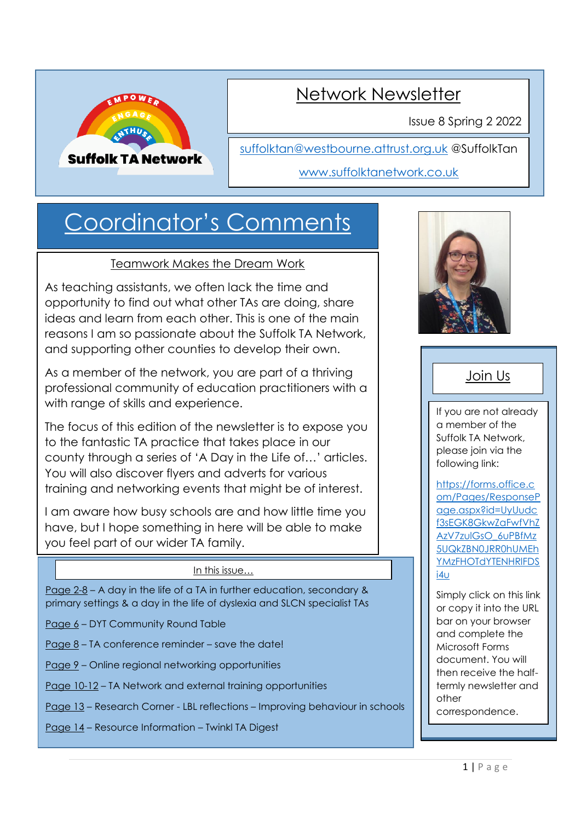

## Network Newsletter

Issue 8 Spring 2 2022

[suffolktan@westbourne.attrust.org.uk](mailto:suffolktan@westbourne.attrust.org.uk) @SuffolkTan

### [www.suffolktanetwork.co.uk](http://www.suffolktanetwork.co.uk/)

# Coordinator's Comments

### Teamwork Makes the Dream Work

As teaching assistants, we often lack the time and opportunity to find out what other TAs are doing, share ideas and learn from each other. This is one of the main reasons I am so passionate about the Suffolk TA Network, and supporting other counties to develop their own.

As a member of the network, you are part of a thriving professional community of education practitioners with a with range of skills and experience.

The focus of this edition of the newsletter is to expose you to the fantastic TA practice that takes place in our county through a series of 'A Day in the Life of…' articles. You will also discover flyers and adverts for various training and networking events that might be of interest.

I am aware how busy schools are and how little time you have, but I hope something in here will be able to make you feel part of our wider TA family.

### In this issue...

Page 2-8 – A day in the life of a TA in further education, secondary & primary settings & a day in the life of dyslexia and SLCN specialist TAs

- Page 6 DYT Community Round Table
- Page 8 TA conference reminder save the date!
- Page 9 Online regional networking opportunities
- Page 10-12 TA Network and external training opportunities
- Page 13 Research Corner LBL reflections Improving behaviour in schools
- Page 14 Resource Information Twinkl TA Digest



## Join Us

If you are not already a member of the Suffolk TA Network, please join via the following link:

[https://forms.office.c](https://forms.office.com/Pages/ResponsePage.aspx?id=UyUudcf3sEGK8GkwZaFwfVhZAzV7zulGsO_6uPBfMz5UQkZBN0JRR0hUMEhYMzFHOTdYTENHRlFDSi4u) [om/Pages/ResponseP](https://forms.office.com/Pages/ResponsePage.aspx?id=UyUudcf3sEGK8GkwZaFwfVhZAzV7zulGsO_6uPBfMz5UQkZBN0JRR0hUMEhYMzFHOTdYTENHRlFDSi4u) [age.aspx?id=UyUudc](https://forms.office.com/Pages/ResponsePage.aspx?id=UyUudcf3sEGK8GkwZaFwfVhZAzV7zulGsO_6uPBfMz5UQkZBN0JRR0hUMEhYMzFHOTdYTENHRlFDSi4u) [f3sEGK8GkwZaFwfVhZ](https://forms.office.com/Pages/ResponsePage.aspx?id=UyUudcf3sEGK8GkwZaFwfVhZAzV7zulGsO_6uPBfMz5UQkZBN0JRR0hUMEhYMzFHOTdYTENHRlFDSi4u) [AzV7zulGsO\\_6uPBfMz](https://forms.office.com/Pages/ResponsePage.aspx?id=UyUudcf3sEGK8GkwZaFwfVhZAzV7zulGsO_6uPBfMz5UQkZBN0JRR0hUMEhYMzFHOTdYTENHRlFDSi4u) [5UQkZBN0JRR0hUMEh](https://forms.office.com/Pages/ResponsePage.aspx?id=UyUudcf3sEGK8GkwZaFwfVhZAzV7zulGsO_6uPBfMz5UQkZBN0JRR0hUMEhYMzFHOTdYTENHRlFDSi4u) [YMzFHOTdYTENHRlFDS](https://forms.office.com/Pages/ResponsePage.aspx?id=UyUudcf3sEGK8GkwZaFwfVhZAzV7zulGsO_6uPBfMz5UQkZBN0JRR0hUMEhYMzFHOTdYTENHRlFDSi4u) [i4u](https://forms.office.com/Pages/ResponsePage.aspx?id=UyUudcf3sEGK8GkwZaFwfVhZAzV7zulGsO_6uPBfMz5UQkZBN0JRR0hUMEhYMzFHOTdYTENHRlFDSi4u)

Simply click on this link or copy it into the URL bar on your browser and complete the Microsoft Forms document. You will then receive the halftermly newsletter and other correspondence.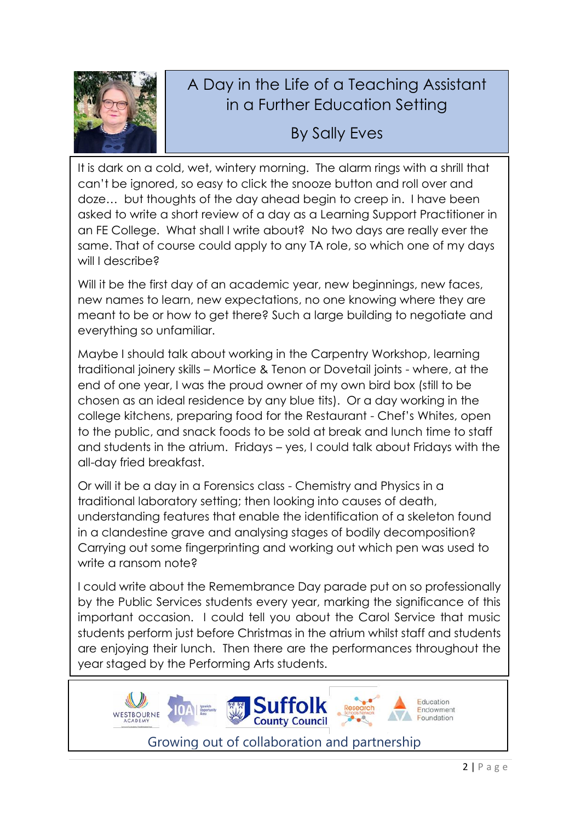

## A Day in the Life of a Teaching Assistant in a Further Education Setting

By Sally Eves

It is dark on a cold, wet, wintery morning. The alarm rings with a shrill that can't be ignored, so easy to click the snooze button and roll over and doze… but thoughts of the day ahead begin to creep in. I have been asked to write a short review of a day as a Learning Support Practitioner in an FE College. What shall I write about? No two days are really ever the same. That of course could apply to any TA role, so which one of my days will I describe?

Will it be the first day of an academic year, new beginnings, new faces, new names to learn, new expectations, no one knowing where they are meant to be or how to get there? Such a large building to negotiate and everything so unfamiliar.

Maybe I should talk about working in the Carpentry Workshop, learning traditional joinery skills – Mortice & Tenon or Dovetail joints - where, at the end of one year, I was the proud owner of my own bird box (still to be chosen as an ideal residence by any blue tits). Or a day working in the college kitchens, preparing food for the Restaurant - Chef's Whites, open to the public, and snack foods to be sold at break and lunch time to staff and students in the atrium. Fridays – yes, I could talk about Fridays with the all-day fried breakfast.

Or will it be a day in a Forensics class - Chemistry and Physics in a traditional laboratory setting; then looking into causes of death, understanding features that enable the identification of a skeleton found in a clandestine grave and analysing stages of bodily decomposition? Carrying out some fingerprinting and working out which pen was used to write a ransom note?

I could write about the Remembrance Day parade put on so professionally by the Public Services students every year, marking the significance of this important occasion. I could tell you about the Carol Service that music students perform just before Christmas in the atrium whilst staff and students are enjoying their lunch. Then there are the performances throughout the year staged by the Performing Arts students.



Growing out of collaboration and partnership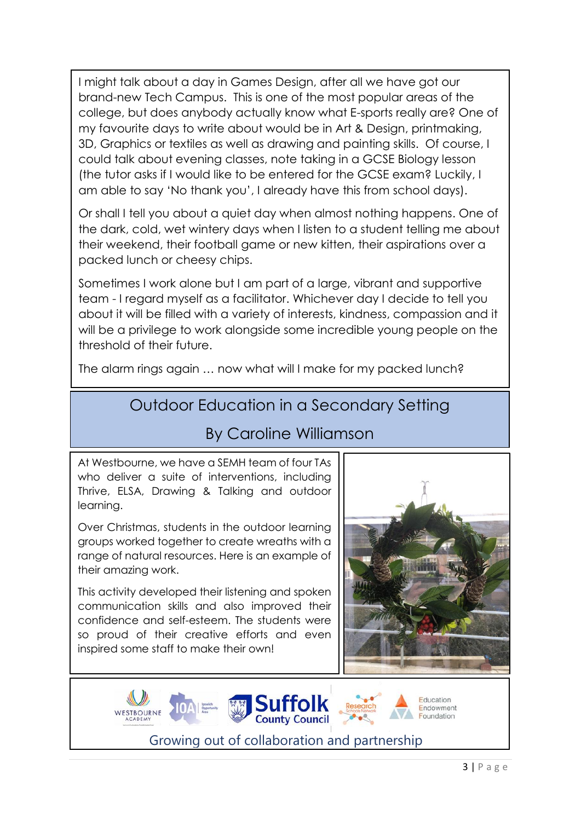I might talk about a day in Games Design, after all we have got our brand-new Tech Campus. This is one of the most popular areas of the college, but does anybody actually know what E-sports really are? One of my favourite days to write about would be in Art & Design, printmaking, 3D, Graphics or textiles as well as drawing and painting skills. Of course, I could talk about evening classes, note taking in a GCSE Biology lesson (the tutor asks if I would like to be entered for the GCSE exam? Luckily, I am able to say 'No thank you', I already have this from school days).

Or shall I tell you about a quiet day when almost nothing happens. One of the dark, cold, wet wintery days when I listen to a student telling me about their weekend, their football game or new kitten, their aspirations over a packed lunch or cheesy chips.

Sometimes I work alone but I am part of a large, vibrant and supportive team - I regard myself as a facilitator. Whichever day I decide to tell you about it will be filled with a variety of interests, kindness, compassion and it will be a privilege to work alongside some incredible young people on the threshold of their future.

The alarm rings again … now what will I make for my packed lunch?

## Outdoor Education in a Secondary Setting

## By Caroline Williamson

At Westbourne, we have a SEMH team of four TAs who deliver a suite of interventions, including Thrive, ELSA, Drawing & Talking and outdoor learning.

Over Christmas, students in the outdoor learning groups worked together to create wreaths with a range of natural resources. Here is an example of their amazing work.

This activity developed their listening and spoken communication skills and also improved their confidence and self-esteem. The students were so proud of their creative efforts and even inspired some staff to make their own!





Growing out of collaboration and partnership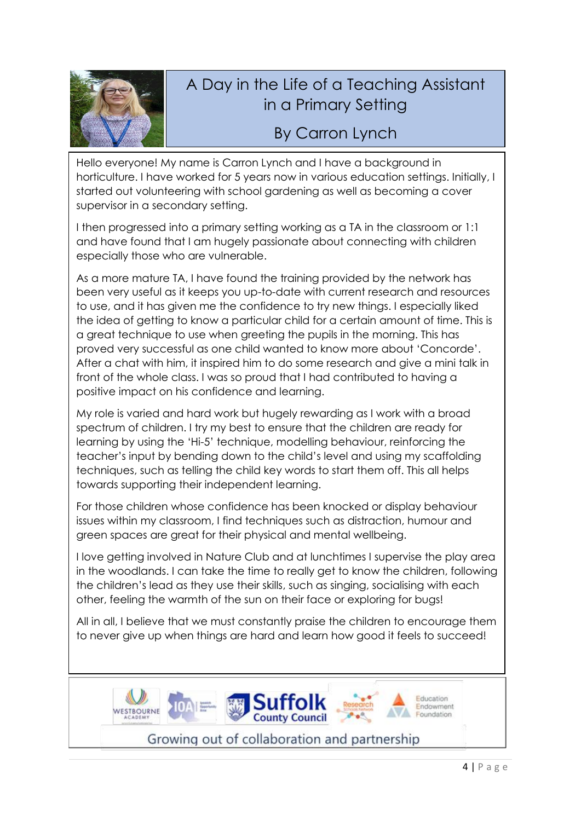

## A Day in the Life of a Teaching Assistant in a Primary Setting

## By Carron Lynch

Hello everyone! My name is Carron Lynch and I have a background in horticulture. I have worked for 5 years now in various education settings. Initially, I started out volunteering with school gardening as well as becoming a cover supervisor in a secondary setting.

I then progressed into a primary setting working as a TA in the classroom or 1:1 and have found that I am hugely passionate about connecting with children especially those who are vulnerable.

As a more mature TA, I have found the training provided by the network has been very useful as it keeps you up-to-date with current research and resources to use, and it has given me the confidence to try new things. I especially liked the idea of getting to know a particular child for a certain amount of time. This is a great technique to use when greeting the pupils in the morning. This has proved very successful as one child wanted to know more about 'Concorde'. After a chat with him, it inspired him to do some research and give a mini talk in front of the whole class. I was so proud that I had contributed to having a positive impact on his confidence and learning.

My role is varied and hard work but hugely rewarding as I work with a broad spectrum of children. I try my best to ensure that the children are ready for learning by using the 'Hi-5' technique, modelling behaviour, reinforcing the teacher's input by bending down to the child's level and using my scaffolding techniques, such as telling the child key words to start them off. This all helps towards supporting their independent learning.

For those children whose confidence has been knocked or display behaviour issues within my classroom, I find techniques such as distraction, humour and green spaces are great for their physical and mental wellbeing.

I love getting involved in Nature Club and at lunchtimes I supervise the play area in the woodlands. I can take the time to really get to know the children, following the children's lead as they use their skills, such as singing, socialising with each other, feeling the warmth of the sun on their face or exploring for bugs!

All in all, I believe that we must constantly praise the children to encourage them to never give up when things are hard and learn how good it feels to succeed!

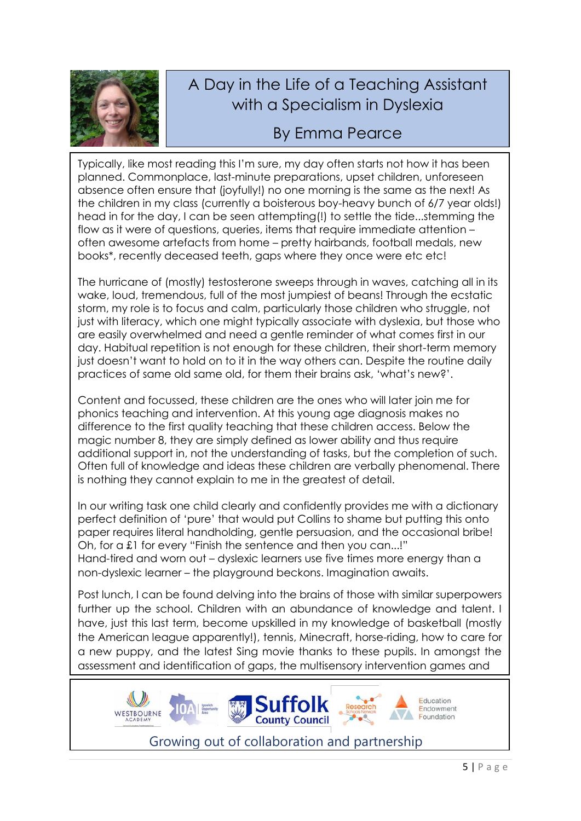

## A Day in the Life of a Teaching Assistant with a Specialism in Dyslexia

## By Emma Pearce

Typically, like most reading this I'm sure, my day often starts not how it has been planned. Commonplace, last-minute preparations, upset children, unforeseen absence often ensure that (joyfully!) no one morning is the same as the next! As the children in my class (currently a boisterous boy-heavy bunch of 6/7 year olds!) head in for the day, I can be seen attempting(!) to settle the tide...stemming the flow as it were of questions, queries, items that require immediate attention – often awesome artefacts from home – pretty hairbands, football medals, new books\*, recently deceased teeth, gaps where they once were etc etc!

The hurricane of (mostly) testosterone sweeps through in waves, catching all in its wake, loud, tremendous, full of the most jumpiest of beans! Through the ecstatic storm, my role is to focus and calm, particularly those children who struggle, not just with literacy, which one might typically associate with dyslexia, but those who are easily overwhelmed and need a gentle reminder of what comes first in our day. Habitual repetition is not enough for these children, their short-term memory just doesn't want to hold on to it in the way others can. Despite the routine daily practices of same old same old, for them their brains ask, 'what's new?'.

Content and focussed, these children are the ones who will later join me for phonics teaching and intervention. At this young age diagnosis makes no difference to the first quality teaching that these children access. Below the magic number 8, they are simply defined as lower ability and thus require additional support in, not the understanding of tasks, but the completion of such. Often full of knowledge and ideas these children are verbally phenomenal. There is nothing they cannot explain to me in the greatest of detail.

In our writing task one child clearly and confidently provides me with a dictionary perfect definition of 'pure' that would put Collins to shame but putting this onto paper requires literal handholding, gentle persuasion, and the occasional bribe! Oh, for a £1 for every "Finish the sentence and then you can...!" Hand-tired and worn out – dyslexic learners use five times more energy than a non-dyslexic learner – the playground beckons. Imagination awaits.

Post lunch, I can be found delving into the brains of those with similar superpowers further up the school. Children with an abundance of knowledge and talent. I have, just this last term, become upskilled in my knowledge of basketball (mostly the American league apparently!), tennis, Minecraft, horse-riding, how to care for a new puppy, and the latest Sing movie thanks to these pupils. In amongst the assessment and identification of gaps, the multisensory intervention games and

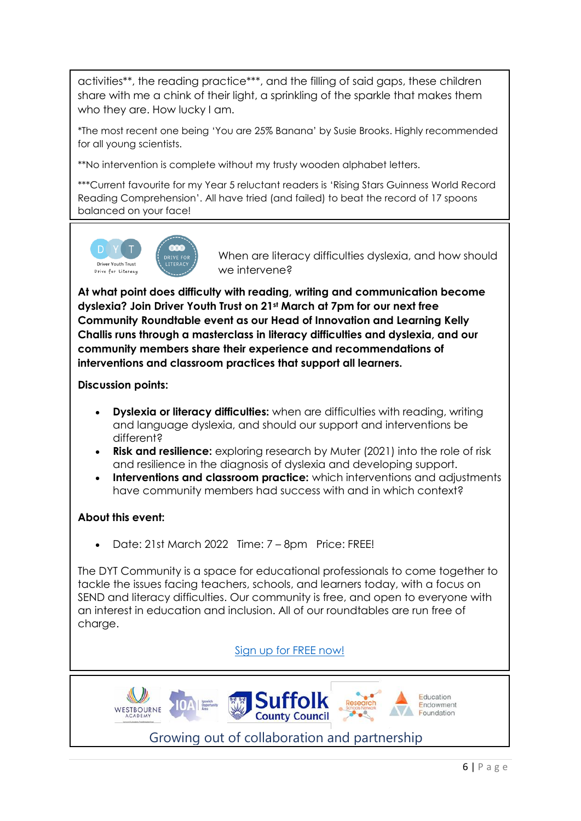activities\*\*, the reading practice\*\*\*, and the filling of said gaps, these children share with me a chink of their light, a sprinkling of the sparkle that makes them who they are. How lucky I am.

\*The most recent one being 'You are 25% Banana' by Susie Brooks. Highly recommended for all young scientists.

\*\*No intervention is complete without my trusty wooden alphabet letters.

\*\*\*Current favourite for my Year 5 reluctant readers is 'Rising Stars Guinness World Record Reading Comprehension'. All have tried (and failed) to beat the record of 17 spoons balanced on your face!



When are literacy difficulties dyslexia, and how should we intervene?

**At what point does difficulty with reading, writing and communication become dyslexia? Join Driver Youth Trust on 21st March at 7pm for our next free Community Roundtable event as our Head of Innovation and Learning Kelly Challis runs through a masterclass in literacy difficulties and dyslexia, and our community members share their experience and recommendations of interventions and classroom practices that support all learners.**

**Discussion points:**

- **Dyslexia or literacy difficulties:** when are difficulties with reading, writing and language dyslexia, and should our support and interventions be different?
- **Risk and resilience:** exploring research by Muter (2021) into the role of risk and resilience in the diagnosis of dyslexia and developing support.
- **Interventions and classroom practice:** which interventions and adjustments have community members had success with and in which context?

### **About this event:**

• Date: 21st March 2022 Time: 7 – 8pm Price: FREE!

The DYT Community is a space for educational professionals to come together to tackle the issues facing teachers, schools, and learners today, with a focus on SEND and literacy difficulties. Our community is free, and open to everyone with an interest in education and inclusion. All of our roundtables are run free of charge.

### Sign [up for FREE now!](https://driveryouthtrust.com/product/community-dyslexia/)

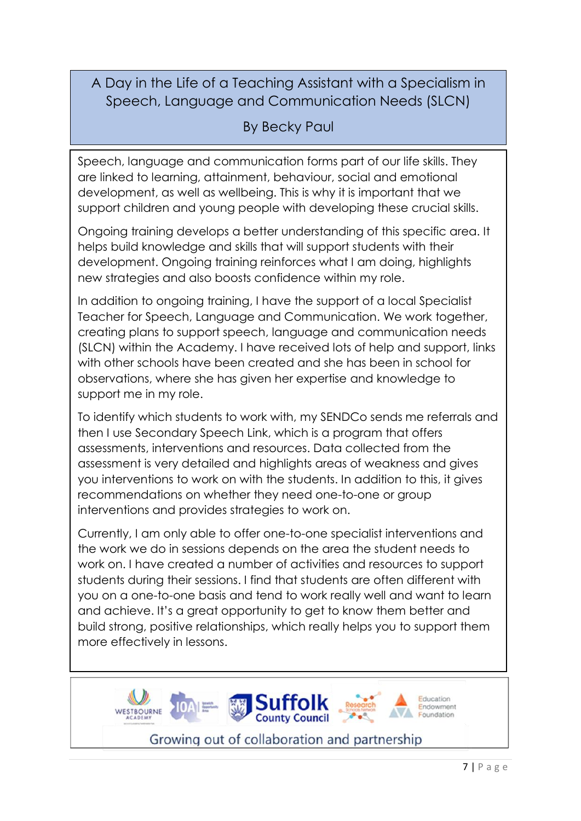## A Day in the Life of a Teaching Assistant with a Specialism in Speech, Language and Communication Needs (SLCN)

## By Becky Paul

Speech, language and communication forms part of our life skills. They are linked to learning, attainment, behaviour, social and emotional development, as well as wellbeing. This is why it is important that we support children and young people with developing these crucial skills.

Ongoing training develops a better understanding of this specific area. It helps build knowledge and skills that will support students with their development. Ongoing training reinforces what I am doing, highlights new strategies and also boosts confidence within my role.

In addition to ongoing training, I have the support of a local Specialist Teacher for Speech, Language and Communication. We work together, creating plans to support speech, language and communication needs (SLCN) within the Academy. I have received lots of help and support, links with other schools have been created and she has been in school for observations, where she has given her expertise and knowledge to support me in my role.

To identify which students to work with, my SENDCo sends me referrals and then I use Secondary Speech Link, which is a program that offers assessments, interventions and resources. Data collected from the assessment is very detailed and highlights areas of weakness and gives you interventions to work on with the students. In addition to this, it gives recommendations on whether they need one-to-one or group interventions and provides strategies to work on.

Currently, I am only able to offer one-to-one specialist interventions and the work we do in sessions depends on the area the student needs to work on. I have created a number of activities and resources to support students during their sessions. I find that students are often different with you on a one-to-one basis and tend to work really well and want to learn and achieve. It's a great opportunity to get to know them better and build strong, positive relationships, which really helps you to support them more effectively in lessons.

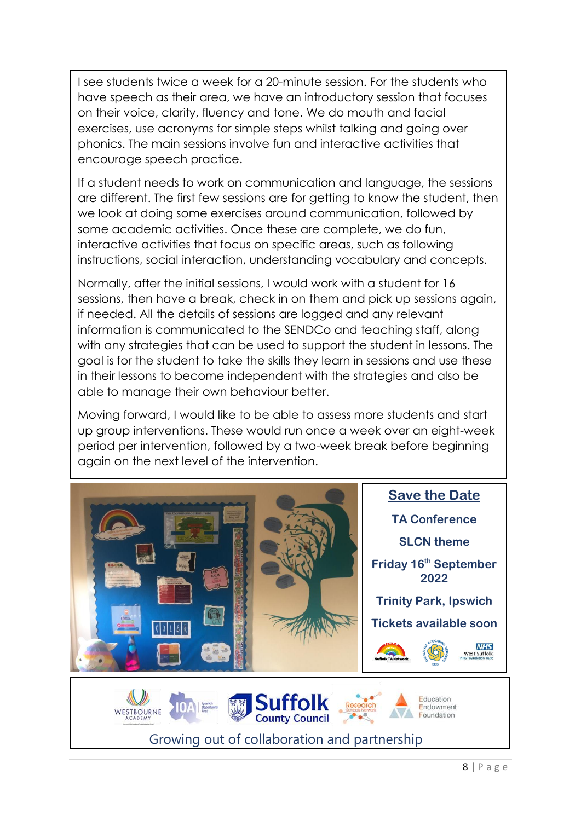I see students twice a week for a 20-minute session. For the students who have speech as their area, we have an introductory session that focuses on their voice, clarity, fluency and tone. We do mouth and facial exercises, use acronyms for simple steps whilst talking and going over phonics. The main sessions involve fun and interactive activities that encourage speech practice.

If a student needs to work on communication and language, the sessions are different. The first few sessions are for getting to know the student, then we look at doing some exercises around communication, followed by some academic activities. Once these are complete, we do fun, interactive activities that focus on specific areas, such as following instructions, social interaction, understanding vocabulary and concepts.

Normally, after the initial sessions, I would work with a student for 16 sessions, then have a break, check in on them and pick up sessions again, if needed. All the details of sessions are logged and any relevant information is communicated to the SENDCo and teaching staff, along with any strategies that can be used to support the student in lessons. The goal is for the student to take the skills they learn in sessions and use these in their lessons to become independent with the strategies and also be able to manage their own behaviour better.

Moving forward, I would like to be able to assess more students and start up group interventions. These would run once a week over an eight-week period per intervention, followed by a two-week break before beginning again on the next level of the intervention.



Growing out of collaboration and partnership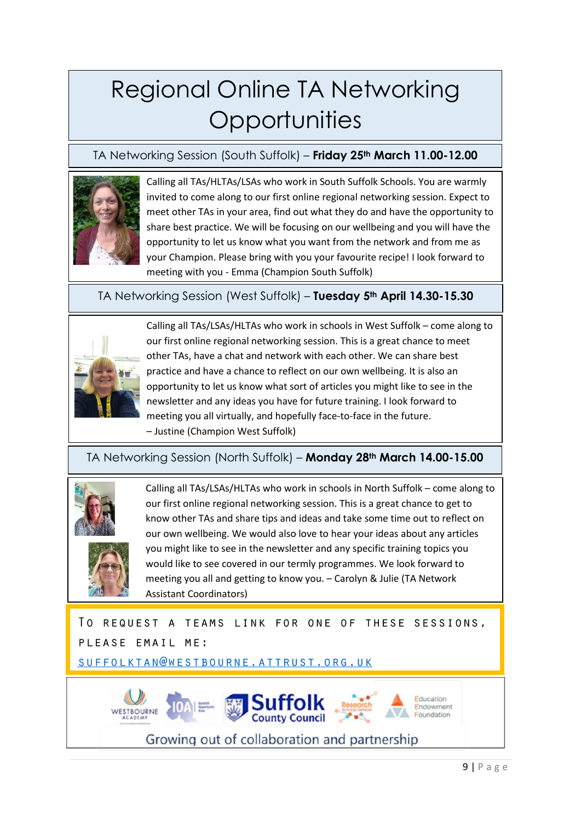# Regional Online TA Networking **Opportunities**

### TA Networking Session (South Suffolk) – **Friday 25th March 11.00-12.00**



Calling all TAs/HLTAs/LSAs who work in South Suffolk Schools. You are warmly invited to come along to our first online regional networking session. Expect to meet other TAs in your area, find out what they do and have the opportunity to share best practice. We will be focusing on our wellbeing and you will have the opportunity to let us know what you want from the network and from me as your Champion. Please bring with you your favourite recipe! I look forward to meeting with you - Emma (Champion South Suffolk)

TA Networking Session (West Suffolk) – **Tuesday 5th April 14.30-15.30**



Calling all TAs/LSAs/HLTAs who work in schools in West Suffolk – come along to our first online regional networking session. This is a great chance to meet other TAs, have a chat and network with each other. We can share best practice and have a chance to reflect on our own wellbeing. It is also an opportunity to let us know what sort of articles you might like to see in the newsletter and any ideas you have for future training. I look forward to meeting you all virtually, and hopefully face-to-face in the future. – Justine (Champion West Suffolk)

### TA Networking Session (North Suffolk) – **Monday 28th March 14.00-15.00**



WESTBOURNE

Calling all TAs/LSAs/HLTAs who work in schools in North Suffolk – come along to our first online regional networking session. This is a great chance to get to know other TAs and share tips and ideas and take some time out to reflect on our own wellbeing. We would also love to hear your ideas about any articles you might like to see in the newsletter and any specific training topics you would like to see covered in our termly programmes. We look forward to meeting you all and getting to know you. – Carolyn & Julie (TA Network Assistant Coordinators)

TO REQUEST A TEAMS LINK FOR ONE OF THESE SESSIONS, PLEASE EMAIL ME:

**Suffolk**<br>County Council

Growing out of collaboration and partnership

SUFFOLKTAN@WESTBOURNE.ATTRUST.ORG.UK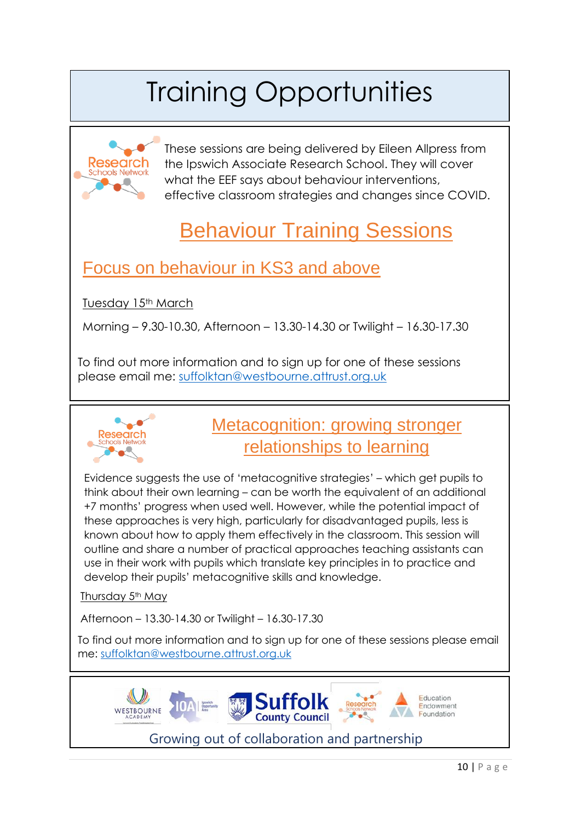# Training Opportunities



These sessions are being delivered by Eileen Allpress from the Ipswich Associate Research School. They will cover what the EEF says about behaviour interventions, effective classroom strategies and changes since COVID.

## Behaviour Training Sessions

## Focus on behaviour in KS3 and above

Tuesday 15<sup>th</sup> March

Morning – 9.30-10.30, Afternoon – 13.30-14.30 or Twilight – 16.30-17.30

To find out more information and to sign up for one of these sessions please email me: [suffolktan@westbourne.attrust.org.uk](mailto:suffolktan@westbourne.attrust.org.uk) 



## Metacognition: growing stronger relationships to learning

Evidence suggests the use of 'metacognitive strategies' – which get pupils to think about their own learning – can be worth the equivalent of an additional +7 months' progress when used well. However, while the potential impact of these approaches is very high, particularly for disadvantaged pupils, less is known about how to apply them effectively in the classroom. This session will outline and share a number of practical approaches teaching assistants can use in their work with pupils which translate key principles in to practice and develop their pupils' metacognitive skills and knowledge.

Thursday 5<sup>th</sup> May

Afternoon – 13.30-14.30 or Twilight – 16.30-17.30

To find out more information and to sign up for one of these sessions please email me: [suffolktan@westbourne.attrust.org.uk](mailto:suffolktan@westbourne.attrust.org.uk)

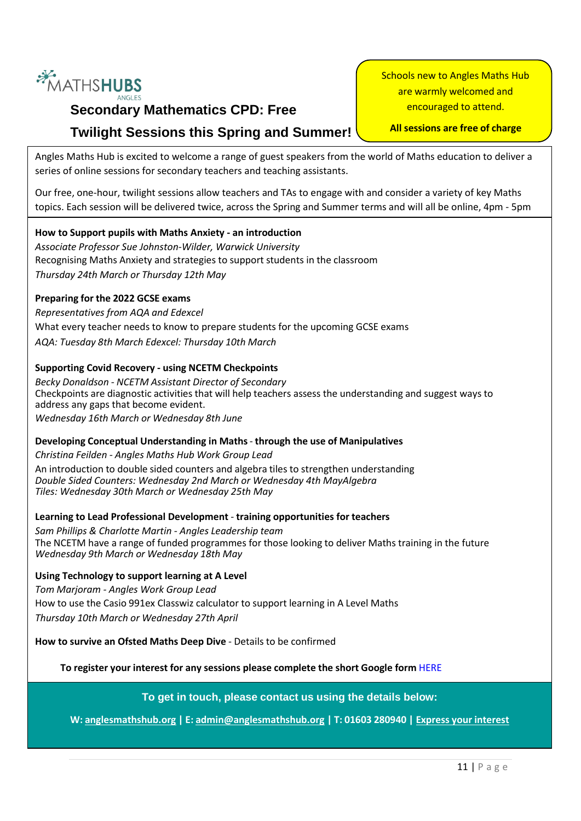

## **Secondary Mathematics CPD: Free Twilight Sessions this Spring and Summer!**

Schools new to Angles Maths Hub are warmly welcomed and encouraged to attend.

### **All sessions are free of charge**

Angles Maths Hub is excited to welcome a range of guest speakers from the world of Maths education to deliver a series of online sessions for secondary teachers and teaching assistants.

Our free, one-hour, twilight sessions allow teachers and TAs to engage with and consider a variety of key Maths topics. Each session will be delivered twice, across the Spring and Summer terms and will all be online, 4pm - 5pm

### **How to Support pupils with Maths Anxiety - an introduction**

*Associate Professor Sue Johnston-Wilder, Warwick University* Recognising Maths Anxiety and strategies to support students in the classroom *Thursday 24th March or Thursday 12th May*

### **Preparing for the 2022 GCSE exams**

*Representatives from AQA and Edexcel* What every teacher needs to know to prepare students for the upcoming GCSE exams *AQA: Tuesday 8th March Edexcel: Thursday 10th March*

### **Supporting Covid Recovery - using NCETM Checkpoints**

*Becky Donaldson - NCETM Assistant Director of Secondary* Checkpoints are diagnostic activities that will help teachers assess the understanding and suggest ways to address any gaps that become evident. *Wednesday 16th March or Wednesday 8th June*

### **Developing Conceptual Understanding in Maths**- **through the use of Manipulatives**

*Christina Feilden - Angles Maths Hub Work Group Lead* An introduction to double sided counters and algebra tiles to strengthen understanding *Double Sided Counters: Wednesday 2nd March or Wednesday 4th MayAlgebra Tiles: Wednesday 30th March or Wednesday 25th May*

### **Learning to Lead Professional Development** - **training opportunities for teachers**

*Sam Phillips & Charlotte Martin - Angles Leadership team* The NCETM have a range of funded programmes for those looking to deliver Maths training in the future *Wednesday 9th March or Wednesday 18th May*

**Using Technology to support learning at A Level** *Tom Marjoram - Angles Work Group Lead* How to use the Casio 991ex Classwiz calculator to support learning in A Level Maths *Thursday 10th March or Wednesday 27th April*

**How to survive an Ofsted Maths Deep Dive** - Details to be confirmed

**To register your interest for any sessions please complete the short Google form** [HERE](https://docs.google.com/forms/d/e/1FAIpQLSce7PSka8XdncH64Pnfmq53w-84EGq82AIzPqk_klJNDux-JQ/viewform)

**To get in touch, please contact us using the details below:**

**W: [anglesmathshub.org](https://www.anglesmathshub.org/) | E: [admin@anglesmathshub.org](mailto:admin@anglesmathshub.org) | T: 01603 280940 | Express your [interest](https://docs.google.com/forms/d/e/1FAIpQLSce7PSka8XdncH64Pnfmq53w-84EGq82AIzPqk_klJNDux-JQ/viewform)**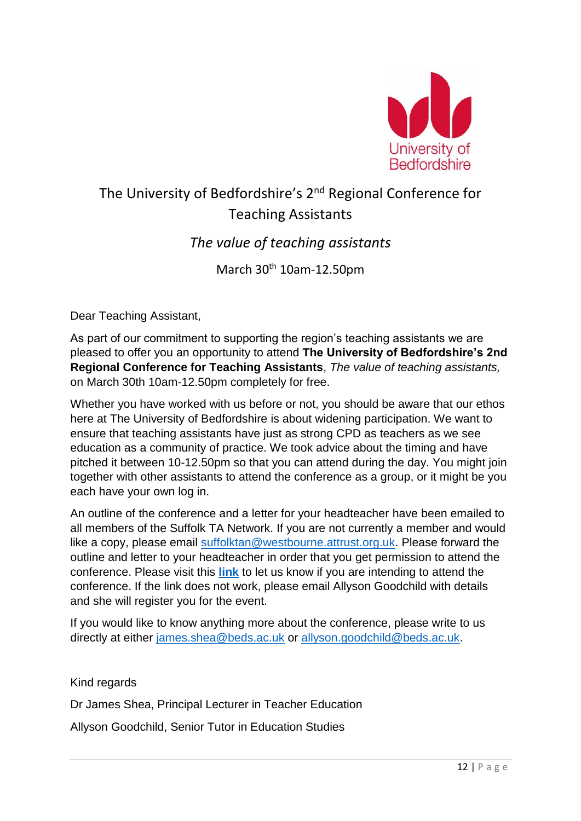

## The University of Bedfordshire's 2nd Regional Conference for Teaching Assistants

### *The value of teaching assistants*

March 30<sup>th</sup> 10am-12.50pm

Dear Teaching Assistant,

As part of our commitment to supporting the region's teaching assistants we are pleased to offer you an opportunity to attend **The University of Bedfordshire's 2nd Regional Conference for Teaching Assistants**, *The value of teaching assistants,* on March 30th 10am-12.50pm completely for free.

Whether you have worked with us before or not, you should be aware that our ethos here at The University of Bedfordshire is about widening participation. We want to ensure that teaching assistants have just as strong CPD as teachers as we see education as a community of practice. We took advice about the timing and have pitched it between 10-12.50pm so that you can attend during the day. You might join together with other assistants to attend the conference as a group, or it might be you each have your own log in.

An outline of the conference and a letter for your headteacher have been emailed to all members of the Suffolk TA Network. If you are not currently a member and would like a copy, please email [suffolktan@westbourne.attrust.org.uk.](mailto:suffolktan@westbourne.attrust.org.uk) Please forward the outline and letter to your headteacher in order that you get permission to attend the conference. Please visit this **[link](https://beds.onlinesurveys.ac.uk/the-university-of-bedfordshires-2nd-regional-conference-f)** to let us know if you are intending to attend the conference. If the link does not work, please email Allyson Goodchild with details and she will register you for the event.

If you would like to know anything more about the conference, please write to us directly at either [james.shea@beds.ac.uk](mailto:james.shea@beds.ac.uk) or [allyson.goodchild@beds.ac.uk.](mailto:allyson.goodchild@beds.ac.uk)

Kind regards

Dr James Shea, Principal Lecturer in Teacher Education

Allyson Goodchild, Senior Tutor in Education Studies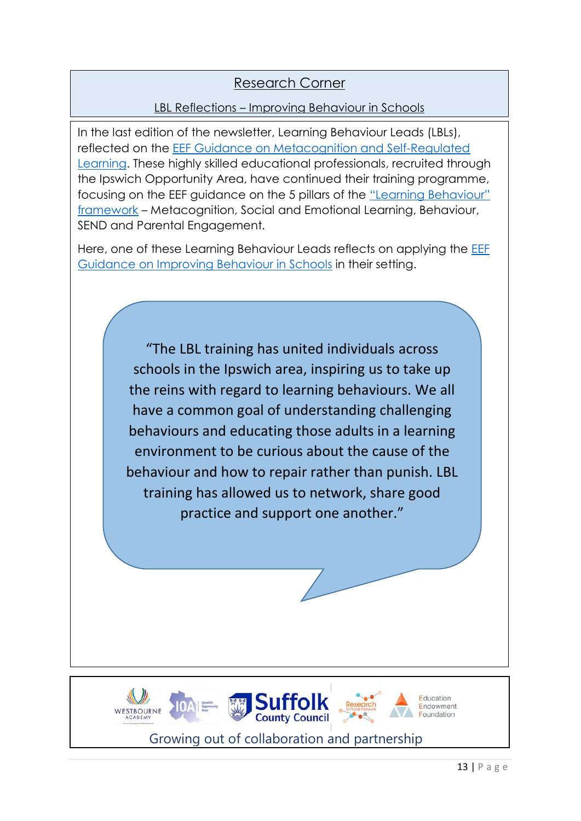### Research Corner

### LBL Reflections – Improving Behaviour in Schools

In the last edition of the newsletter, Learning Behaviour Leads (LBLs), reflected on the [EEF Guidance on Metacognition and Self-Regulated](https://educationendowmentfoundation.org.uk/education-evidence/guidance-reports/metacognition)  [Learning.](https://educationendowmentfoundation.org.uk/education-evidence/guidance-reports/metacognition) These highly skilled educational professionals, recruited through the Ipswich Opportunity Area, have continued their training programme, focusing on the EEF guidance on the 5 pillars of the ["Learning Behaviour"](https://educationendowmentfoundation.org.uk/news/five-a-day-effective-learning-behaviours-within-our-classrooms/)  [framework](https://educationendowmentfoundation.org.uk/news/five-a-day-effective-learning-behaviours-within-our-classrooms/) – Metacognition, Social and Emotional Learning, Behaviour, SEND and Parental Engagement.

Here, one of these Learning Behaviour Leads reflects on applying the **EEF** [Guidance on Improving Behaviour in Schools](https://educationendowmentfoundation.org.uk/education-evidence/guidance-reports/behaviour) in their setting.

> "The LBL training has united individuals across schools in the Ipswich area, inspiring us to take up the reins with regard to learning behaviours. We all have a common goal of understanding challenging behaviours and educating those adults in a learning environment to be curious about the cause of the behaviour and how to repair rather than punish. LBL training has allowed us to network, share good practice and support one another."